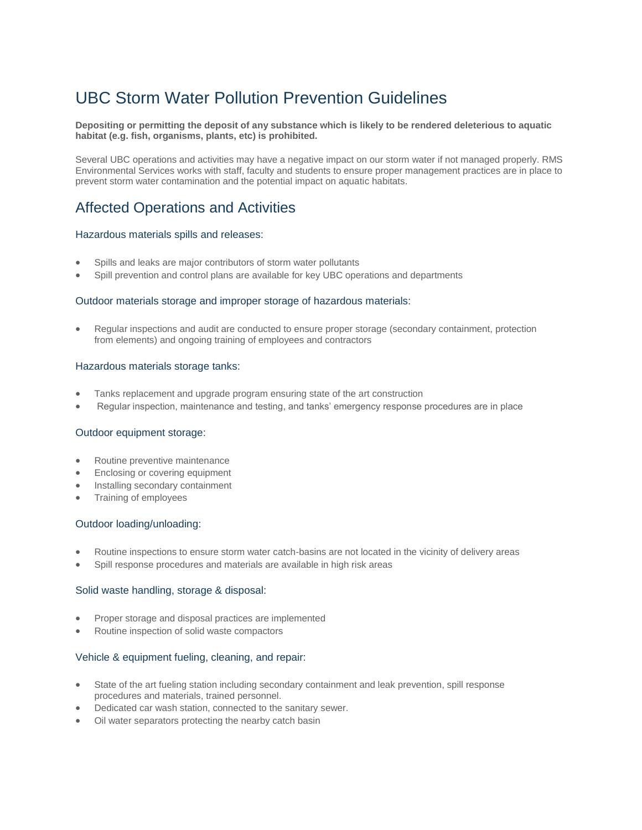# UBC Storm Water Pollution Prevention Guidelines

#### **Depositing or permitting the deposit of any substance which is likely to be rendered deleterious to aquatic habitat (e.g. fish, organisms, plants, etc) is prohibited.**

Several UBC operations and activities may have a negative impact on our storm water if not managed properly. RMS Environmental Services works with staff, faculty and students to ensure proper management practices are in place to prevent storm water contamination and the potential impact on aquatic habitats.

# Affected Operations and Activities

## Hazardous materials spills and releases:

- Spills and leaks are major contributors of storm water pollutants
- Spill prevention and control plans are available for key UBC operations and departments

#### Outdoor materials storage and improper storage of hazardous materials:

 Regular inspections and audit are conducted to ensure proper storage (secondary containment, protection from elements) and ongoing training of employees and contractors

#### Hazardous materials storage tanks:

- Tanks replacement and upgrade program ensuring state of the art construction
- Regular inspection, maintenance and testing, and tanks' emergency response procedures are in place

#### Outdoor equipment storage:

- Routine preventive maintenance
- Enclosing or covering equipment
- Installing secondary containment
- Training of employees

#### Outdoor loading/unloading:

- Routine inspections to ensure storm water catch-basins are not located in the vicinity of delivery areas
- Spill response procedures and materials are available in high risk areas

#### Solid waste handling, storage & disposal:

- Proper storage and disposal practices are implemented
- Routine inspection of solid waste compactors

# Vehicle & equipment fueling, cleaning, and repair:

- State of the art fueling station including secondary containment and leak prevention, spill response procedures and materials, trained personnel.
- Dedicated car wash station, connected to the sanitary sewer.
- Oil water separators protecting the nearby catch basin